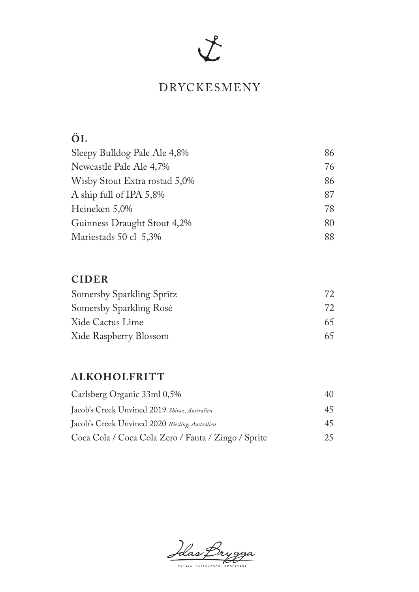# $\chi$

#### DRYCKESMENY

# **ÖL**

| Sleepy Bulldog Pale Ale 4,8%  | 86 |
|-------------------------------|----|
| Newcastle Pale Ale 4,7%       | 76 |
| Wisby Stout Extra rostad 5,0% | 86 |
| A ship full of IPA 5,8%       | 87 |
| Heineken 5,0%                 | 78 |
| Guinness Draught Stout 4,2%   | 80 |
| Mariestads 50 cl 5,3%         | 88 |

#### **CIDER**

| Somersby Sparkling Spritz | 72. |
|---------------------------|-----|
| Somersby Sparkling Rosé   | 72  |
| Xide Cactus Lime          | 65  |
| Xide Raspberry Blossom    | 65. |

#### **ALKOHOLFRIT T**

| Carlsberg Organic 33ml 0,5%                         | 40 |
|-----------------------------------------------------|----|
| Jacob's Creek Unvined 2019 Shiraz, Australien       | 45 |
| Jacob's Creek Unvined 2020 Riesling, Australien     | 45 |
| Coca Cola / Coca Cola Zero / Fanta / Zingo / Sprite | 25 |

Idas Bryg

HOTELL RESTAURANG